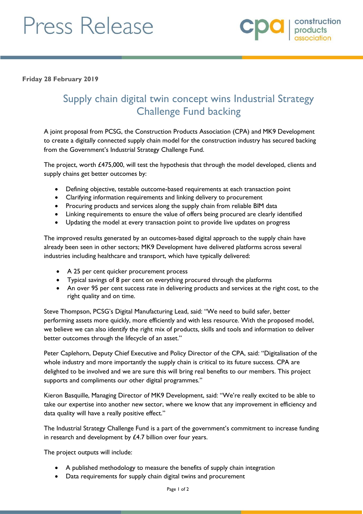## Press Release



**Friday 28 February 2019**

## Supply chain digital twin concept wins Industrial Strategy Challenge Fund backing

A joint proposal from PCSG, the Construction Products Association (CPA) and MK9 Development to create a digitally connected supply chain model for the construction industry has secured backing from the Government's Industrial Strategy Challenge Fund.

The project, worth £475,000, will test the hypothesis that through the model developed, clients and supply chains get better outcomes by:

- Defining objective, testable outcome-based requirements at each transaction point
- Clarifying information requirements and linking delivery to procurement
- Procuring products and services along the supply chain from reliable BIM data
- Linking requirements to ensure the value of offers being procured are clearly identified
- Updating the model at every transaction point to provide live updates on progress

The improved results generated by an outcomes-based digital approach to the supply chain have already been seen in other sectors; MK9 Development have delivered platforms across several industries including healthcare and transport, which have typically delivered:

- A 25 per cent quicker procurement process
- Typical savings of 8 per cent on everything procured through the platforms
- An over 95 per cent success rate in delivering products and services at the right cost, to the right quality and on time.

Steve Thompson, PCSG's Digital Manufacturing Lead, said: "We need to build safer, better performing assets more quickly, more efficiently and with less resource. With the proposed model, we believe we can also identify the right mix of products, skills and tools and information to deliver better outcomes through the lifecycle of an asset."

Peter Caplehorn, Deputy Chief Executive and Policy Director of the CPA, said: "Digitalisation of the whole industry and more importantly the supply chain is critical to its future success. CPA are delighted to be involved and we are sure this will bring real benefits to our members. This project supports and compliments our other digital programmes."

Kieron Basquille, Managing Director of MK9 Development, said: "We're really excited to be able to take our expertise into another new sector, where we know that any improvement in efficiency and data quality will have a really positive effect."

The Industrial Strategy Challenge Fund is a part of the government's commitment to increase funding in research and development by £4.7 billion over four years.

The project outputs will include:

- A published methodology to measure the benefits of supply chain integration
- Data requirements for supply chain digital twins and procurement